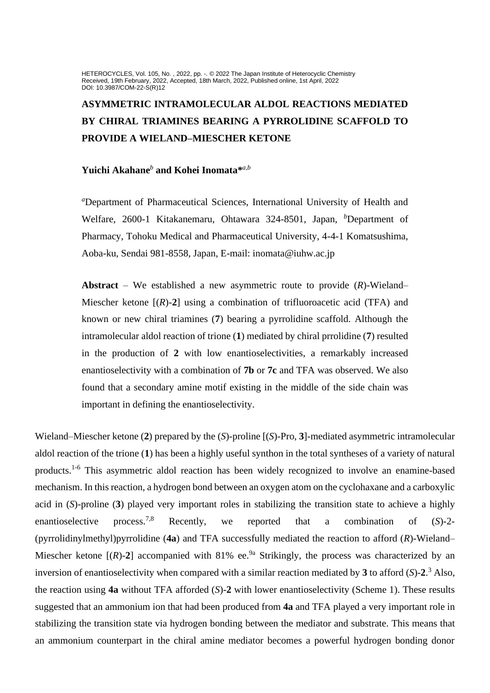HETEROCYCLES, Vol. 105, No. , 2022, pp. -. © 2022 The Japan Institute of Heterocyclic Chemistry Received, 19th February, 2022, Accepted, 18th March, 2022, Published online, 1st April, 2022 DOI: 10.3987/COM-22-S(R)12

# **ASYMMETRIC INTRAMOLECULAR ALDOL REACTIONS MEDIATED BY CHIRAL TRIAMINES BEARING A PYRROLIDINE SCAFFOLD TO PROVIDE A WIELAND–MIESCHER KETONE**

## **Yuichi Akahane***<sup>b</sup>* **and Kohei Inomata\*** *a,b*

*<sup>a</sup>*Department of Pharmaceutical Sciences, International University of Health and Welfare, 2600-1 Kitakanemaru, Ohtawara 324-8501, Japan, <sup>b</sup>Department of Pharmacy, Tohoku Medical and Pharmaceutical University, 4-4-1 Komatsushima, Aoba-ku, Sendai 981-8558, Japan, E-mail: inomata@iuhw.ac.jp

**Abstract** – We established a new asymmetric route to provide (*R*)-Wieland– Miescher ketone  $[(R)-2]$  using a combination of trifluoroacetic acid (TFA) and known or new chiral triamines (**7**) bearing a pyrrolidine scaffold. Although the intramolecular aldol reaction of trione (**1**) mediated by chiral prrolidine (**7**) resulted in the production of **2** with low enantioselectivities, a remarkably increased enantioselectivity with a combination of **7b** or **7c** and TFA was observed. We also found that a secondary amine motif existing in the middle of the side chain was important in defining the enantioselectivity.

Wieland–Miescher ketone (**2**) prepared by the (*S*)-proline [(*S*)-Pro, **3**]-mediated asymmetric intramolecular aldol reaction of the trione (**1**) has been a highly useful synthon in the total syntheses of a variety of natural products.1-6 This asymmetric aldol reaction has been widely recognized to involve an enamine-based mechanism. In this reaction, a hydrogen bond between an oxygen atom on the cyclohaxane and a carboxylic acid in (*S*)-proline (**3**) played very important roles in stabilizing the transition state to achieve a highly enantioselective process.<sup>7,8</sup> Recently, we reported that a combination of (*S*)-2-(pyrrolidinylmethyl)pyrrolidine (**4a**) and TFA successfully mediated the reaction to afford (*R*)-Wieland– Miescher ketone  $[(R)-2]$  accompanied with 81% ee.<sup>9a</sup> Strikingly, the process was characterized by an inversion of enantioselectivity when compared with a similar reaction mediated by **3** to afford (*S*)-**2**. <sup>3</sup> Also, the reaction using **4a** without TFA afforded (*S*)-**2** with lower enantioselectivity (Scheme 1). These results suggested that an ammonium ion that had been produced from **4a** and TFA played a very important role in stabilizing the transition state via hydrogen bonding between the mediator and substrate. This means that an ammonium counterpart in the chiral amine mediator becomes a powerful hydrogen bonding donor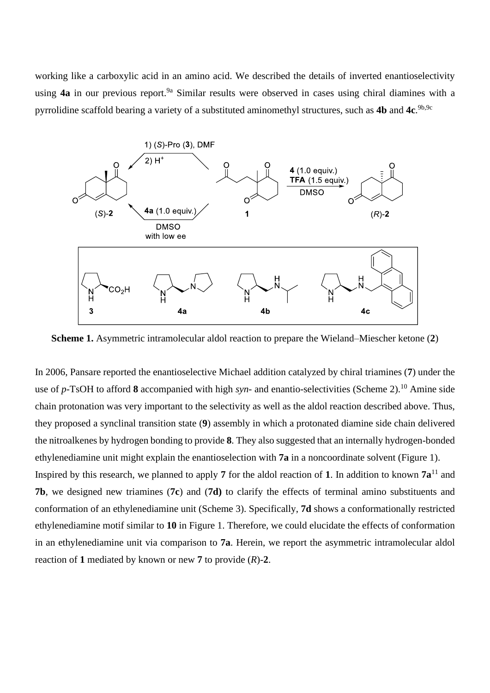working like a carboxylic acid in an amino acid. We described the details of inverted enantioselectivity using **4a** in our previous report.<sup>9a</sup> Similar results were observed in cases using chiral diamines with a pyrrolidine scaffold bearing a variety of a substituted aminomethyl structures, such as **4b** and **4c**. 9b,9c



**Scheme 1.** Asymmetric intramolecular aldol reaction to prepare the Wieland–Miescher ketone (**2**)

In 2006, Pansare reported the enantioselective Michael addition catalyzed by chiral triamines (**7**) under the use of *p*-TsOH to afford **8** accompanied with high *syn*- and enantio-selectivities (Scheme 2). <sup>10</sup> Amine side chain protonation was very important to the selectivity as well as the aldol reaction described above. Thus, they proposed a synclinal transition state (**9**) assembly in which a protonated diamine side chain delivered the nitroalkenes by hydrogen bonding to provide **8**. They also suggested that an internally hydrogen-bonded ethylenediamine unit might explain the enantioselection with **7a** in a noncoordinate solvent (Figure 1).

Inspired by this research, we planned to apply 7 for the aldol reaction of 1. In addition to known  $7a^{11}$  and **7b**, we designed new triamines (**7c**) and (**7d)** to clarify the effects of terminal amino substituents and conformation of an ethylenediamine unit (Scheme 3). Specifically, **7d** shows a conformationally restricted ethylenediamine motif similar to **10** in Figure 1. Therefore, we could elucidate the effects of conformation in an ethylenediamine unit via comparison to **7a**. Herein, we report the asymmetric intramolecular aldol reaction of **1** mediated by known or new **7** to provide (*R*)-**2**.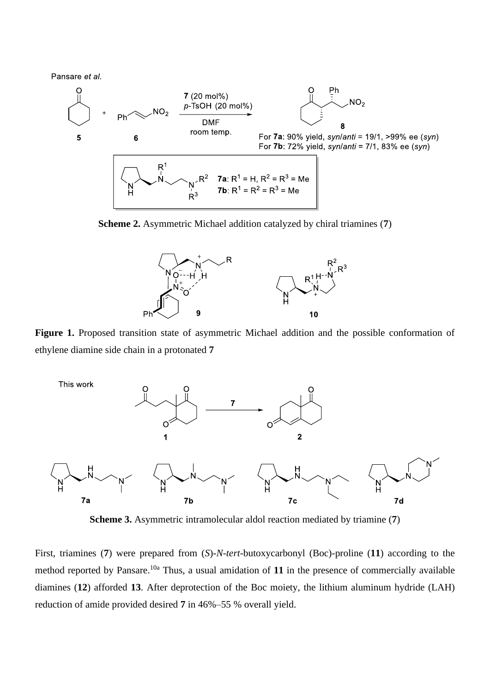Pansare et al.



**Scheme 2.** Asymmetric Michael addition catalyzed by chiral triamines (**7**)



**Figure 1.** Proposed transition state of asymmetric Michael addition and the possible conformation of ethylene diamine side chain in a protonated **7**



**Scheme 3.** Asymmetric intramolecular aldol reaction mediated by triamine (**7**)

First, triamines (**7**) were prepared from (*S*)-*N*-*tert*-butoxycarbonyl (Boc)-proline (**11**) according to the method reported by Pansare.<sup>10a</sup> Thus, a usual amidation of 11 in the presence of commercially available diamines (**12**) afforded **13**. After deprotection of the Boc moiety, the lithium aluminum hydride (LAH) reduction of amide provided desired **7** in 46%–55 % overall yield.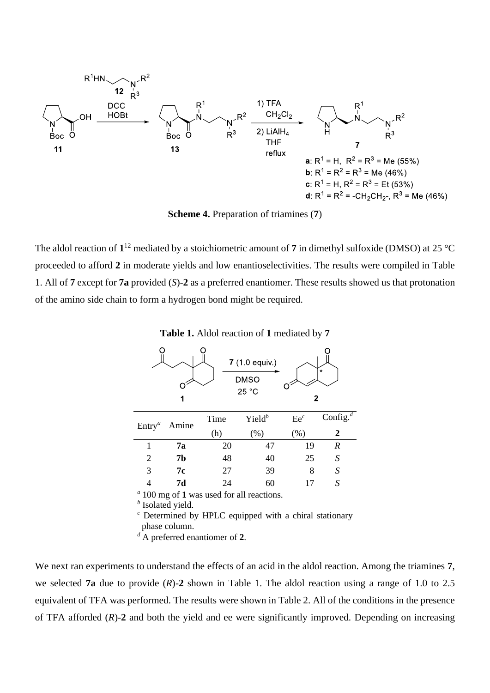

**Scheme 4.** Preparation of triamines (**7**)

The aldol reaction of  $1^{12}$  mediated by a stoichiometric amount of 7 in dimethyl sulfoxide (DMSO) at 25 °C proceeded to afford **2** in moderate yields and low enantioselectivities. The results were compiled in Table 1. All of **7** except for **7a** provided (*S*)-**2** as a preferred enantiomer. These results showed us that protonation of the amino side chain to form a hydrogen bond might be required.

**Table 1.** Aldol reaction of **1** mediated by **7**



*a* 100 mg of **1** was used for all reactions.

*b* Isolated yield.

*<sup>c</sup>* Determined by HPLC equipped with a chiral stationary phase column.

*<sup>d</sup>* A preferred enantiomer of **2**.

We next ran experiments to understand the effects of an acid in the aldol reaction. Among the triamines **7**, we selected **7a** due to provide  $(R)$ -2 shown in Table 1. The aldol reaction using a range of 1.0 to 2.5 equivalent of TFA was performed. The results were shown in Table 2. All of the conditions in the presence of TFA afforded (*R*)-**2** and both the yield and ee were significantly improved. Depending on increasing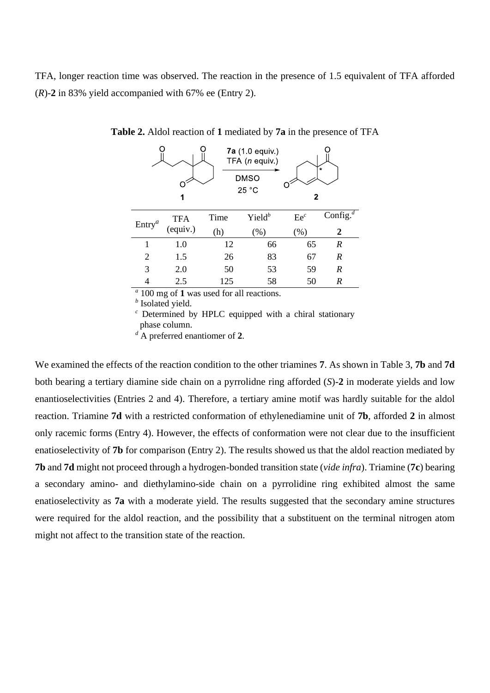TFA, longer reaction time was observed. The reaction in the presence of 1.5 equivalent of TFA afforded (*R*)-**2** in 83% yield accompanied with 67% ee (Entry 2).

|                | 1        |      | 7a (1.0 equiv.)<br>TFA (n equiv.)<br>DMSO<br>25 °C | 2      | $\star$                |
|----------------|----------|------|----------------------------------------------------|--------|------------------------|
| $Entry^a$      | TFA      | Time | $Yield^b$                                          | $Ee^c$ | Config. $\overline{d}$ |
|                | (equiv.) | (h)  | (% )                                               | (% )   | $\boldsymbol{2}$       |
| 1              | 1.0      | 12   | 66                                                 | 65     | $\boldsymbol{R}$       |
| $\overline{2}$ | 1.5      | 26   | 83                                                 | 67     | $\boldsymbol{R}$       |
| 3              | 2.0      | 50   | 53                                                 | 59     | $\boldsymbol{R}$       |
|                | 2.5      | 125  | 58                                                 | 50     | R                      |

**Table 2.** Aldol reaction of **1** mediated by **7a** in the presence of TFA

*a* 100 mg of **1** was used for all reactions.

*b* Isolated yield.

*<sup>c</sup>* Determined by HPLC equipped with a chiral stationary phase column.

*<sup>d</sup>* A preferred enantiomer of **2**.

We examined the effects of the reaction condition to the other triamines **7**. As shown in Table 3, **7b** and **7d** both bearing a tertiary diamine side chain on a pyrrolidne ring afforded (*S*)-**2** in moderate yields and low enantioselectivities (Entries 2 and 4). Therefore, a tertiary amine motif was hardly suitable for the aldol reaction. Triamine **7d** with a restricted conformation of ethylenediamine unit of **7b**, afforded **2** in almost only racemic forms (Entry 4). However, the effects of conformation were not clear due to the insufficient enatioselectivity of **7b** for comparison (Entry 2). The results showed us that the aldol reaction mediated by **7b** and **7d** might not proceed through a hydrogen-bonded transition state (*vide infra*). Triamine (**7c**) bearing a secondary amino- and diethylamino-side chain on a pyrrolidine ring exhibited almost the same enatioselectivity as **7a** with a moderate yield. The results suggested that the secondary amine structures were required for the aldol reaction, and the possibility that a substituent on the terminal nitrogen atom might not affect to the transition state of the reaction.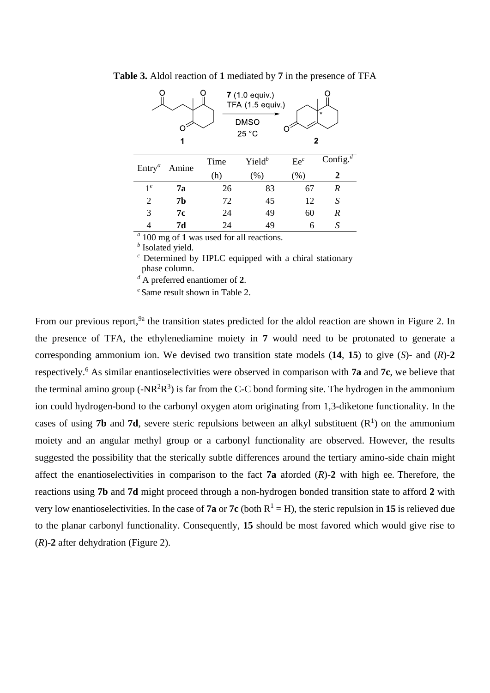| 7 (1.0 equiv.)<br>TFA (1.5 equiv.)<br>$\star$<br><b>DMSO</b><br>25 °C<br>2<br>1 |               |        |                        |        |                        |  |  |  |  |
|---------------------------------------------------------------------------------|---------------|--------|------------------------|--------|------------------------|--|--|--|--|
| Entry <sup>a</sup>                                                              | Amine         | Time   | Yield $^b$             | $Ee^c$ | Config. $\overline{d}$ |  |  |  |  |
|                                                                                 |               | (h)    | (% )                   | (% )   | 2                      |  |  |  |  |
| 1 <sup>e</sup>                                                                  | 7а            | 26     | 83                     | 67     | $\boldsymbol{R}$       |  |  |  |  |
| $\overline{2}$                                                                  | <b>7b</b>     | 72     | 45                     | 12     | S                      |  |  |  |  |
| 3                                                                               | 7с            | 24     | 49                     | 60     | $\boldsymbol{R}$       |  |  |  |  |
|                                                                                 | 7d            | 24     | 49                     | 6      | S                      |  |  |  |  |
| $\alpha$ $\alpha$                                                               | $\sim$ $\sim$ | $\sim$ | $\bullet$<br>$\bullet$ |        |                        |  |  |  |  |

**Table 3.** Aldol reaction of **1** mediated by **7** in the presence of TFA

*a* 100 mg of **1** was used for all reactions.

*b* Isolated yield.

*<sup>c</sup>* Determined by HPLC equipped with a chiral stationary phase column.

*<sup>d</sup>* A preferred enantiomer of **2**.

*<sup>e</sup>* Same result shown in Table 2.

From our previous report, <sup>9a</sup> the transition states predicted for the aldol reaction are shown in Figure 2. In the presence of TFA, the ethylenediamine moiety in **7** would need to be protonated to generate a corresponding ammonium ion. We devised two transition state models (**14**, **15**) to give (*S*)- and (*R*)-**2** respectively.<sup>6</sup> As similar enantioselectivities were observed in comparison with **7a** and **7c**, we believe that the terminal amino group ( $-NR^2R^3$ ) is far from the C-C bond forming site. The hydrogen in the ammonium ion could hydrogen-bond to the carbonyl oxygen atom originating from 1,3-diketone functionality. In the cases of using **7b** and **7d**, severe steric repulsions between an alkyl substituent  $(R<sup>1</sup>)$  on the ammonium moiety and an angular methyl group or a carbonyl functionality are observed. However, the results suggested the possibility that the sterically subtle differences around the tertiary amino-side chain might affect the enantioselectivities in comparison to the fact **7a** aforded  $(R)$ -2 with high ee. Therefore, the reactions using **7b** and **7d** might proceed through a non-hydrogen bonded transition state to afford **2** with very low enantioselectivities. In the case of **7a** or **7c** (both  $R^1 = H$ ), the steric repulsion in **15** is relieved due to the planar carbonyl functionality. Consequently, **15** should be most favored which would give rise to (*R*)-**2** after dehydration (Figure 2).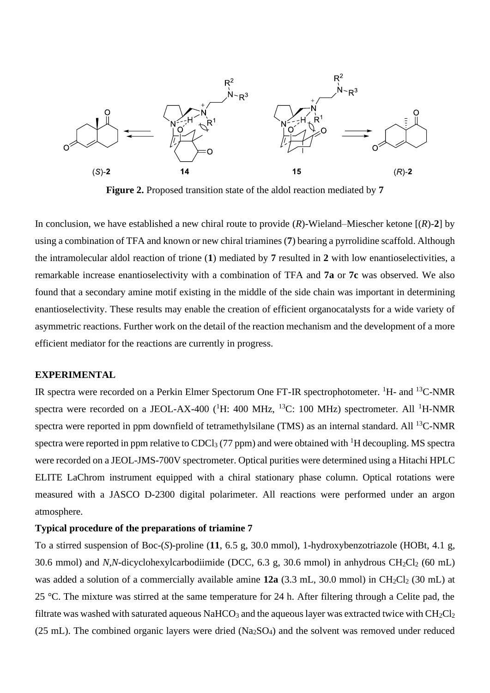

**Figure 2.** Proposed transition state of the aldol reaction mediated by **7**

In conclusion, we have established a new chiral route to provide  $(R)$ -Wieland–Miescher ketone  $[(R)-2]$  by using a combination of TFA and known or new chiral triamines (**7**) bearing a pyrrolidine scaffold. Although the intramolecular aldol reaction of trione (**1**) mediated by **7** resulted in **2** with low enantioselectivities, a remarkable increase enantioselectivity with a combination of TFA and **7a** or **7c** was observed. We also found that a secondary amine motif existing in the middle of the side chain was important in determining enantioselectivity. These results may enable the creation of efficient organocatalysts for a wide variety of asymmetric reactions. Further work on the detail of the reaction mechanism and the development of a more efficient mediator for the reactions are currently in progress.

## **EXPERIMENTAL**

IR spectra were recorded on a Perkin Elmer Spectorum One FT-IR spectrophotometer. <sup>1</sup>H- and <sup>13</sup>C-NMR spectra were recorded on a JEOL-AX-400 ( $^1$ H: 400 MHz,  $^{13}$ C: 100 MHz) spectrometer. All  $^1$ H-NMR spectra were reported in ppm downfield of tetramethylsilane (TMS) as an internal standard. All <sup>13</sup>C-NMR spectra were reported in ppm relative to  $CDCl<sub>3</sub>$  (77 ppm) and were obtained with <sup>1</sup>H decoupling. MS spectra were recorded on a JEOL-JMS-700V spectrometer. Optical purities were determined using a Hitachi HPLC ELITE LaChrom instrument equipped with a chiral stationary phase column. Optical rotations were measured with a JASCO D-2300 digital polarimeter. All reactions were performed under an argon atmosphere.

#### **Typical procedure of the preparations of triamine 7**

To a stirred suspension of Boc-(*S*)-proline (**11**, 6.5 g, 30.0 mmol), 1-hydroxybenzotriazole (HOBt, 4.1 g, 30.6 mmol) and *N*,*N*-dicyclohexylcarbodiimide (DCC, 6.3 g, 30.6 mmol) in anhydrous CH<sub>2</sub>Cl<sub>2</sub> (60 mL) was added a solution of a commercially available amine **12a** (3.3 mL, 30.0 mmol) in CH<sub>2</sub>Cl<sub>2</sub> (30 mL) at 25 °C. The mixture was stirred at the same temperature for 24 h. After filtering through a Celite pad, the filtrate was washed with saturated aqueous NaHCO<sub>3</sub> and the aqueous layer was extracted twice with  $CH_2Cl_2$ (25 mL). The combined organic layers were dried (Na2SO4) and the solvent was removed under reduced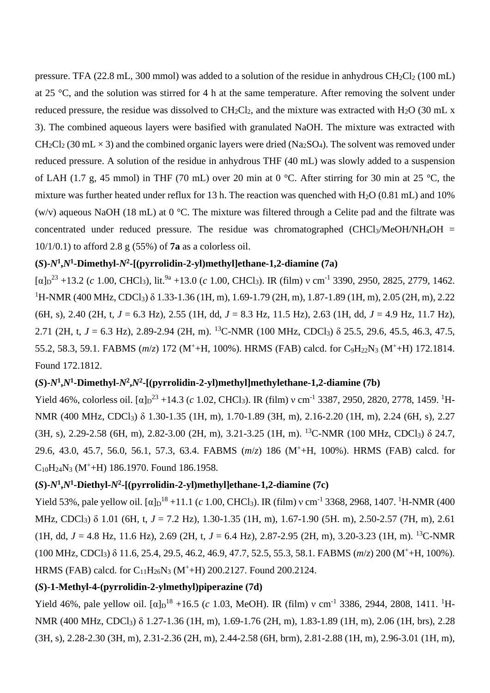pressure. TFA (22.8 mL, 300 mmol) was added to a solution of the residue in anhydrous CH<sub>2</sub>Cl<sub>2</sub> (100 mL) at 25 °C, and the solution was stirred for 4 h at the same temperature. After removing the solvent under reduced pressure, the residue was dissolved to  $CH_2Cl_2$ , and the mixture was extracted with  $H_2O$  (30 mL x 3). The combined aqueous layers were basified with granulated NaOH. The mixture was extracted with  $CH_2Cl_2$  (30 mL  $\times$  3) and the combined organic layers were dried (Na<sub>2</sub>SO<sub>4</sub>). The solvent was removed under reduced pressure. A solution of the residue in anhydrous THF (40 mL) was slowly added to a suspension of LAH (1.7 g, 45 mmol) in THF (70 mL) over 20 min at 0 °C. After stirring for 30 min at 25 °C, the mixture was further heated under reflux for 13 h. The reaction was quenched with  $H_2O$  (0.81 mL) and 10% (w/v) aqueous NaOH (18 mL) at 0 °C. The mixture was filtered through a Celite pad and the filtrate was concentrated under reduced pressure. The residue was chromatographed  $(CHCl<sub>3</sub>/MeOH/NH<sub>4</sub>OH =$ 10/1/0.1) to afford 2.8 g (55%) of **7a** as a colorless oil.

## $(S)$ - $N^1$ , $N^1$ -Dimethyl- $N^2$ -[(pyrrolidin-2-yl)methyl]ethane-1,2-diamine (7a)

 $[\alpha]_D^{23}$  +13.2 (*c* 1.00, CHCl<sub>3</sub>), lit.<sup>9a</sup> +13.0 (*c* 1.00, CHCl<sub>3</sub>). IR (film) v cm<sup>-1</sup> 3390, 2950, 2825, 2779, 1462. <sup>1</sup>H-NMR (400 MHz, CDCl<sub>3</sub>) δ 1.33-1.36 (1H, m), 1.69-1.79 (2H, m), 1.87-1.89 (1H, m), 2.05 (2H, m), 2.22 (6H, s), 2.40 (2H, t, *J* = 6.3 Hz), 2.55 (1H, dd, *J* = 8.3 Hz, 11.5 Hz), 2.63 (1H, dd, *J* = 4.9 Hz, 11.7 Hz), 2.71 (2H, t,  $J = 6.3$  Hz), 2.89-2.94 (2H, m). <sup>13</sup>C-NMR (100 MHz, CDCl<sub>3</sub>)  $\delta$  25.5, 29.6, 45.5, 46.3, 47.5, 55.2, 58.3, 59.1. FABMS (*m*/*z*) 172 (M<sup>+</sup>+H, 100%). HRMS (FAB) calcd. for C<sub>9</sub>H<sub>22</sub>N<sub>3</sub> (M<sup>+</sup>+H) 172.1814. Found 172.1812.

# $(S)$ - $N^1$ , $N^1$ -Dimethyl- $N^2$ , $N^2$ -[(pyrrolidin-2-yl)methyl]methylethane-1,2-diamine (7b)

Yield 46%, colorless oil.  $[\alpha]_D^{23} + 14.3$  (*c* 1.02, CHCl<sub>3</sub>). IR (film) v cm<sup>-1</sup> 3387, 2950, 2820, 2778, 1459. <sup>1</sup>H-NMR (400 MHz, CDCl3) δ 1.30-1.35 (1H, m), 1.70-1.89 (3H, m), 2.16-2.20 (1H, m), 2.24 (6H, s), 2.27 (3H, s), 2.29-2.58 (6H, m), 2.82-3.00 (2H, m), 3.21-3.25 (1H, m). <sup>13</sup>C-NMR (100 MHz, CDCl3) δ 24.7, 29.6, 43.0, 45.7, 56.0, 56.1, 57.3, 63.4. FABMS (*m*/*z*) 186 (M<sup>+</sup>+H, 100%). HRMS (FAB) calcd. for  $C_{10}H_{24}N_3$  (M<sup>+</sup>+H) 186.1970. Found 186.1958.

## $(S)$ - $N^1$ , $N^1$ -Diethyl- $N^2$ -[(pyrrolidin-2-yl)methyl]ethane-1,2-diamine (7c)

Yield 53%, pale yellow oil.  $[\alpha]_D^{18} +11.1$  (*c* 1.00, CHCl<sub>3</sub>). IR (film) v cm<sup>-1</sup> 3368, 2968, 1407. <sup>1</sup>H-NMR (400 MHz, CDCl3) δ 1.01 (6H, t, *J* = 7.2 Hz), 1.30-1.35 (1H, m), 1.67-1.90 (5H. m), 2.50-2.57 (7H, m), 2.61 (1H, dd,  $J = 4.8$  Hz, 11.6 Hz), 2.69 (2H, t,  $J = 6.4$  Hz), 2.87-2.95 (2H, m), 3.20-3.23 (1H, m). <sup>13</sup>C-NMR (100 MHz, CDCl3) δ 11.6, 25.4, 29.5, 46.2, 46.9, 47.7, 52.5, 55.3, 58.1. FABMS (*m*/*z*) 200 (M<sup>+</sup>+H, 100%). HRMS (FAB) calcd. for  $C_{11}H_{26}N_3$  (M<sup>+</sup>+H) 200.2127. Found 200.2124.

# **(***S***)-1-Methyl-4-(pyrrolidin-2-ylmethyl)piperazine (7d)**

Yield 46%, pale yellow oil.  $[\alpha]_D^{18}$  +16.5 (*c* 1.03, MeOH). IR (film) v cm<sup>-1</sup> 3386, 2944, 2808, 1411. <sup>1</sup>H-NMR (400 MHz, CDCl3) δ 1.27-1.36 (1H, m), 1.69-1.76 (2H, m), 1.83-1.89 (1H, m), 2.06 (1H, brs), 2.28 (3H, s), 2.28-2.30 (3H, m), 2.31-2.36 (2H, m), 2.44-2.58 (6H, brm), 2.81-2.88 (1H, m), 2.96-3.01 (1H, m),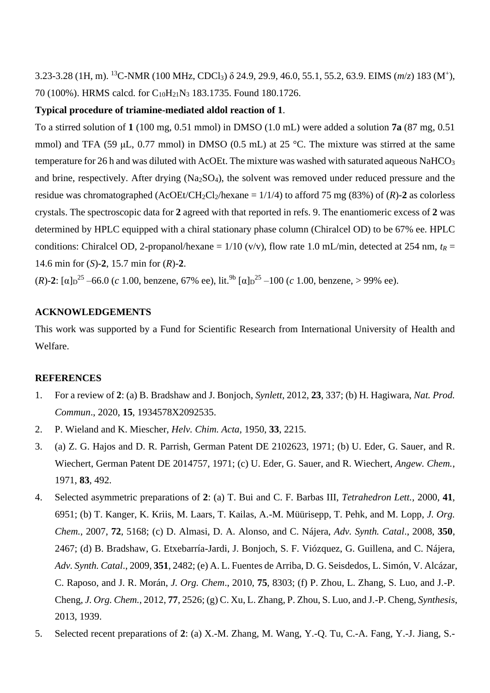3.23-3.28 (1H, m). <sup>13</sup>C-NMR (100 MHz, CDCl3) δ 24.9, 29.9, 46.0, 55.1, 55.2, 63.9. EIMS (*m*/*z*) 183 (M<sup>+</sup> ), 70 (100%). HRMS calcd. for C10H21N<sup>3</sup> 183.1735. Found 180.1726.

## **Typical procedure of triamine-mediated aldol reaction of 1**.

To a stirred solution of **1** (100 mg, 0.51 mmol) in DMSO (1.0 mL) were added a solution **7a** (87 mg, 0.51 mmol) and TFA (59  $\mu$ L, 0.77 mmol) in DMSO (0.5 mL) at 25 °C. The mixture was stirred at the same temperature for 26 h and was diluted with AcOEt. The mixture was washed with saturated aqueous NaHCO<sub>3</sub> and brine, respectively. After drying (Na2SO4), the solvent was removed under reduced pressure and the residue was chromatographed (AcOEt/CH<sub>2</sub>Cl<sub>2</sub>/hexane =  $1/1/4$ ) to afford 75 mg (83%) of (*R*)-2 as colorless crystals. The spectroscopic data for **2** agreed with that reported in refs. 9. The enantiomeric excess of **2** was determined by HPLC equipped with a chiral stationary phase column (Chiralcel OD) to be 67% ee. HPLC conditions: Chiralcel OD, 2-propanol/hexane =  $1/10$  (v/v), flow rate 1.0 mL/min, detected at 254 nm,  $t_R$  = 14.6 min for (*S*)-**2**, 15.7 min for (*R*)-**2**.

(*R*)-2:  $[\alpha]_D^{25}$  –66.0 (*c* 1.00, benzene, 67% ee), lit.<sup>9b</sup>  $[\alpha]_D^{25}$  –100 (*c* 1.00, benzene, > 99% ee).

#### **ACKNOWLEDGEMENTS**

This work was supported by a Fund for Scientific Research from International University of Health and Welfare.

#### **REFERENCES**

- 1. For a review of **2**: (a) B. Bradshaw and J. Bonjoch, *Synlett*, 2012, **23**, 337; (b) H. Hagiwara, *Nat. Prod. Commun*., 2020, **15**, 1934578X2092535.
- 2. P. Wieland and K. Miescher, *Helv. Chim. Acta,* 1950, **33**, 2215.
- 3. (a) Z. G. Hajos and D. R. Parrish, German Patent DE 2102623, 1971; (b) U. Eder, G. Sauer, and R. Wiechert, German Patent DE 2014757, 1971; (c) U. Eder, G. Sauer, and R. Wiechert, *Angew. Chem.*, 1971, **83**, 492.
- 4. Selected asymmetric preparations of **2**: (a) T. Bui and C. F. Barbas III, *Tetrahedron Lett.*, 2000, **41**, 6951; (b) T. Kanger, K. Kriis, M. Laars, T. Kailas, A.-M. Müürisepp, T. Pehk, and M. Lopp, *J. Org. Chem.*, 2007, **72**, 5168; (c) D. Almasi, D. A. Alonso, and C. Nájera, *Adv. Synth. Catal*., 2008, **350**, 2467; (d) B. Bradshaw, G. Etxebarría-Jardi, J. Bonjoch, S. F. Viózquez, G. Guillena, and C. Nájera, *Adv. Synth. Catal*., 2009, **351**, 2482; (e) A. L. Fuentes de Arriba, D. G. Seisdedos, L. Simón, V. Alcázar, C. Raposo, and J. R. Morán, *J. Org. Chem*., 2010, **75**, 8303; (f) P. Zhou, L. Zhang, S. Luo, and J.-P. Cheng, *J. Org. Chem.*, 2012, **77**, 2526; (g) C. Xu, L. Zhang, P. Zhou, S. Luo, and J.-P. Cheng, *Synthesis*, 2013, 1939.
- 5. Selected recent preparations of **2**: (a) X.-M. Zhang, M. Wang, Y.-Q. Tu, C.-A. Fang, Y.-J. Jiang, S.-